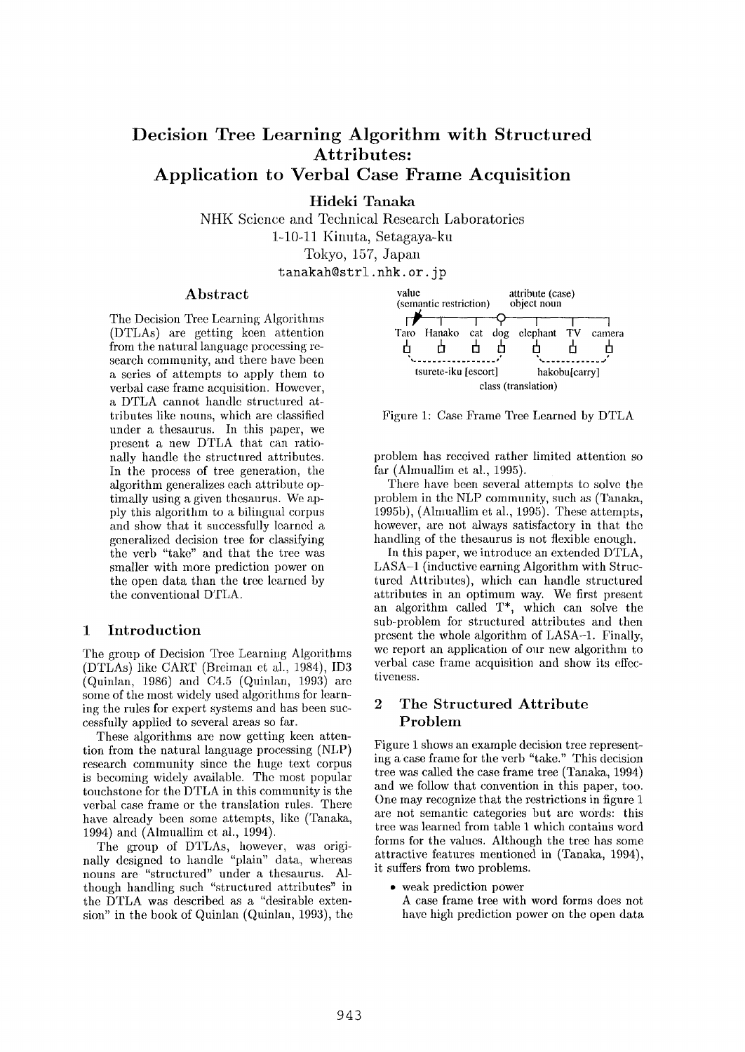# **Decision Tree Learning Algorithm with Structured Attributes: Application to Verbal Case Frame Acquisition**

Hideki Tanaka

NHK Science and Technical Research Laboratories 1-10-11 Kinuta, Setagaya-ku Tokyo, 157, Japan

tanakah@strl, nhk. or. jp

### **Abstract**

The Decision Tree Learning Algorithms (DTLAs) are getting keen attention from the natural language processing research community, and there have been a series of attempts to apply them to verbal case frame acquisition. However, a DTLA cannot handle structured attributes like nouns, which are classified under a thesaurus. In this paper, we present a new DTLA that can rationally handle the structured attributes. In the process of tree generation, the algorithm generalizes each attribute optimally using a given thesaurus. We apply this algorithm to a bilingual corpus and show that it successfully learned a generalized decision tree for classifying the verb "take" and that the tree was smaller with more prediction power on the open data than the tree learned by the conventional DTLA.

### 1 Introduction

The group of Decision Tree Learning Algorithms (DTLAs) like CART (Breiman et al., 1984), ID3 (Quinlan, 1986) and C4.5 (Quinlan, 1993) are some of the most widely used algorithms for learning the rules for expert systems and has been sueeessfully applied to several areas so far.

These algorithms are now getting keen attention from the natural language processing (NLP) research community since the huge text corpus is becoming widely available. The most popular touchstone for the DTLA in this community is the verbal case frame or the translation rules. There have already been some attempts, like (Tanaka, 1994) and (Almuallim et al., 1994).

The group of DTLAs, however, was originally designed to handle "plain" data, whereas nouns are "structured" under a thesaurus. Although handling such "structured attributes" in the DTLA was described as a "desirable extension" in the book of Quinlan (Quinlan, 1993), the



Figure 1: Case Prame Tree Learned by DTLA

problem has received rather limited attention so far (Almuallim et al., 1995).

There have been several attempts to solve the problem in the NLP community, such as (Tanaka, 1995b), (Almuallim et al., 1995). These attempts, however, are not always satisfactory in that the handling of the thesaurus is not flexible enough.

In this paper, we introduce an extended DTLA, LASA-1 (inductive earning Algorithm with Structured Attributes), which can handle structured attributes in an optimum way. We first present an algorithm called T\*, which can solve the sub-problem for structured attributes and then present the whole algorithm of LASA-1. Finally, we report an application of our new algorithm to verbal case frame acquisition and show its effectiveness.

## 2 The Structured Attribute Problem

Figure 1 shows an example decision tree representing acase frame for the verb "take." This decision tree was called the case frame tree (Tanaka, 1994) and we follow that convention in this paper, too. One may recognize that the restrictions in figure 1 are not semantic categories but are words: this tree was learned from table I which contains word forms for the values. Although the tree has some attractive features mentioned in (Tanaka, 1994), it suffers from two problems.

• weak prediction power

A case frame tree with word forms does not have high prediction power on the open data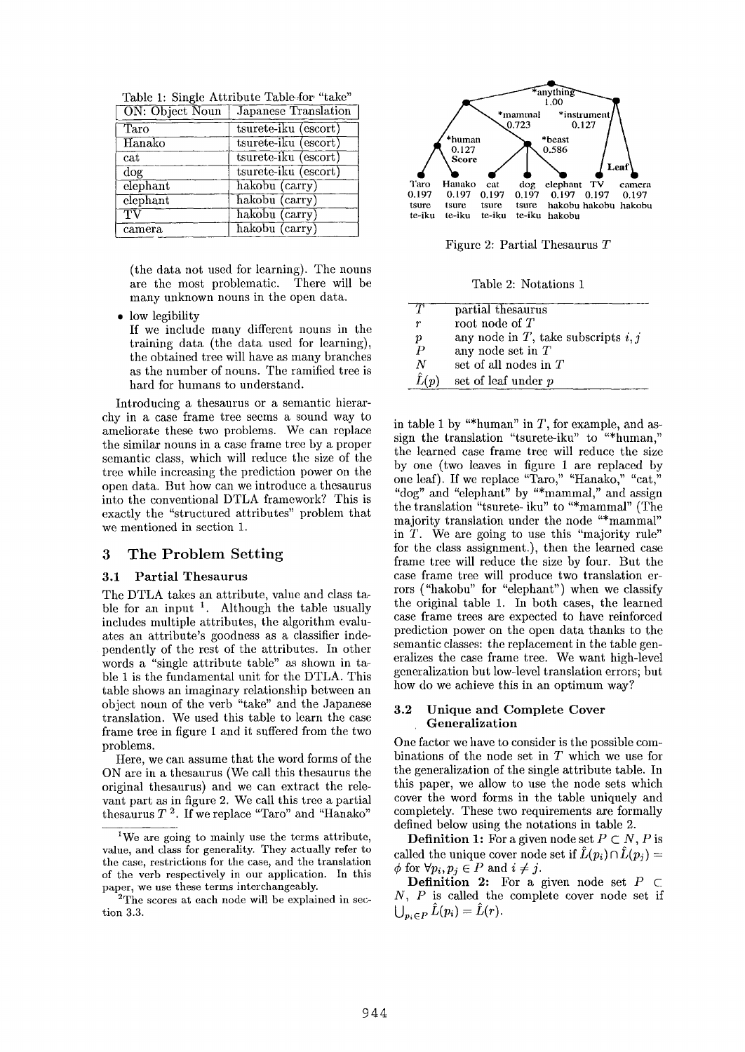| ON: Object Noun<br>Japanese Translation |                      |  |
|-----------------------------------------|----------------------|--|
| Taro                                    | tsurete-iku (escort) |  |
| Hanako                                  | tsurete-iku (escort) |  |
| $_{\rm cat}$                            | tsurete-iku (escort) |  |
| dog                                     | tsurete-iku (escort) |  |
| elephant                                | hakobu (carry)       |  |
| elephant                                | hakobu (carry)       |  |
| $\overline{\rm TV}$                     | hakobu (carry)       |  |
| camera                                  | hakobu (carry)       |  |

Table 1: Single Attribute Table-for "take"

(the data not used for learning). The nouns are the most problematic. There will be many unknown nouns in the open data.

low legibility

If we include many different nouns in the training data (the data used for learning), the obtained tree will have as many branches as the number of nouns. The ramified tree is hard for humans to understand.

Introducing a thesaurus or a semantic hierarchy in a case frame tree seems a sound way to ameliorate these two problems. We can replace the similar nouns in a case frame tree by a proper semantic class, which will reduce the size of the tree while increasing the prediction power on the open data. But how can we introduce a thesaurus into the conventional DTLA framework? This is exactly the "structured attributes" problem that we mentioned in section 1.

# 3 The Problem Setting

### 3.1 Partial Thesaurus

The DTLA takes an attribute, value and class table for an input  $1$ . Although the table usually includes multiple attributes, the algorithm evaluates an attribute's goodness as a classifier independently of the rest of the attributes. In other words a "single attribute table" as shown in table 1 is the fundamental unit for the DTLA. This table shows an imaginary relationship between an object noun of the verb "take" and the Japanese translation. We used this table to learn the case frame tree in figure 1 and it suffered from the two problems.

Here, we can assume that the word forms of the ON are in a thesaurus (We call this thesaurus the original thesaurus) and we can extract the relevant part as in figure 2. We call this tree a partial thesaurus  $T$ <sup>2</sup>. If we replace "Taro" and "Hanako"



Figure 2: Partial Thesaurus T

Table 2: Notations 1

| T                | partial thesaurus                        |
|------------------|------------------------------------------|
| r                | root node of $T$                         |
| р                | any node in $T$ , take subscripts $i, j$ |
| $\boldsymbol{P}$ | any node set in $T$                      |
| N                | set of all nodes in $T$                  |
| $\hat{L}(p)$     | set of leaf under p                      |
|                  |                                          |

in table 1 by "\*human" in  $T$ , for example, and assign the translation "tsurete-iku" to "\*human," the learned case frame tree will reduce the size by one (two leaves in figure 1 are replaced by one leaf). If we replace "Taro," "Hanako," "cat, "dog" and "elephant" by "\*mammal," and assign the translation "tsurete- iku" to "\*mammal" (The majority translation under the node "\*mammal" in T. We are going to use this "majority rule" for the class assignment.), then the learned case frame tree will reduce the size by four. But the case frame tree will produce two translation errors ("hakobu" for "elephant") when we classify the original table 1. In both cases, the learned case frame trees are expected to have reinforced prediction power on the open data thanks to the semantic classes: the replacement in the table generalizes the case frame tree. We want high-level generalization but low-level translation errors; but how do we achieve this in an optimum way?

### 3.2 Unique and Complete Cover **Generalization**

One factor we have to consider is the possible combinations of the node set in T which we use for the generalization of the single attribute table. In this paper, we allow to use the node sets which cover the word forms in the table uniquely and completely. These two requirements are formally defined below using the notations in table 2.

**Definition 1:** For a given node set  $P \subset N$ , P is called the unique cover node set if  $\hat{L}(p_i) \cap \hat{L}(p_j) =$  $\phi$  for  $\forall p_i, p_j \in P$  and  $i \neq j$ .

**Definition 2:** For a given node set  $P \subset$  $N, P$  is called the complete cover node set if  $\bigcup_{p_i \in P} \hat{L}(p_i) = \hat{L}(r).$ 

lWe are going to mainly use the terms attribute, value, and class for generality. They actually refer to the case, restrictions for the case, and the translation of the verb respectively in our application. In this paper, we use these terms interehangeably.

<sup>&</sup>lt;sup>2</sup>The scores at each node will be explained in section 3.3.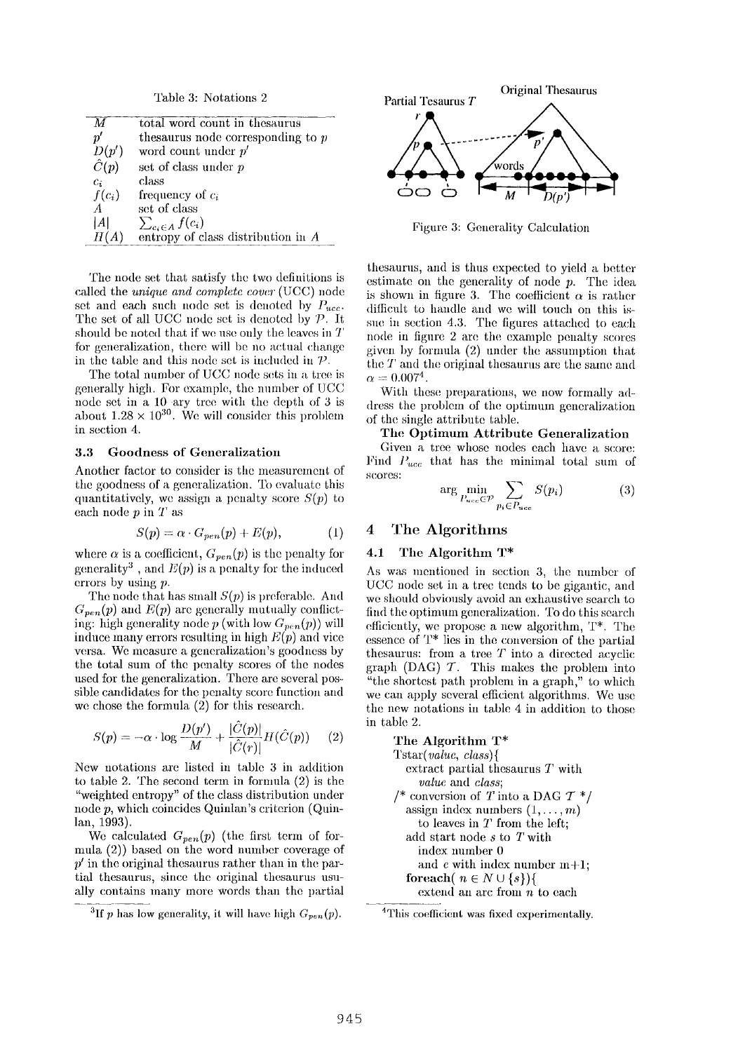Table 3: Notations 2

| М            | total word count in the saurus       |
|--------------|--------------------------------------|
| $p^{\prime}$ | these the node corresponding to $p$  |
| D(p')        | word count under $p'$                |
| $\hat{C}(p)$ | set of class under p                 |
| $c_i$        | class                                |
| $f(c_i)$     | frequency of $c_i$                   |
| $\mathbf{A}$ | set of class                         |
| IAI          | $\sum_{c_i \in A} f(c_i)$            |
| H(A)         | entropy of class distribution in $A$ |

The node set that satisfy the two definitions is called the *unique and complete cover (UCC)* node set and each such node set is denoted by  $P_{ucc}$ . The set of all UCC node set is denoted by *P*. It should be noted that if we use only the leaves in T for generalization, there will be no actual change in the table and this node set is included in  $P$ .

The total number of UCC node sets in a tree is generally high. For example, the number of UCC node set in a 10 ary tree with the depth of 3 is about  $1.28 \times 10^{30}$ . We will consider this problem in section 4.

#### **3.3** Goodness of Generalization

Another factor to consider is the measurement of the goodness of a generalization. To evaluate this quantitatively, we assign a penalty score  $S(p)$  to each node  $p$  in  $T$  as

$$
S(p) = \alpha \cdot G_{pen}(p) + E(p), \qquad (1)
$$

where  $\alpha$  is a coefficient,  $G_{pen}(p)$  is the penalty for generality<sup>3</sup>, and  $E(p)$  is a penalty for the induced errors by using p.

The node that has small  $S(p)$  is preferable. And  $G_{pen}(p)$  and  $E(p)$  are generally mutually conflicting: high generality node  $p$  (with low  $G_{pen}(p)$ ) will induce many errors resulting in high  $E(p)$  and vice versa. We measure a generalization's goodness by the total sum of the penalty scores of the nodes used for the generalization. There are several possible candidates for the penalty score function and we chose the formula  $(2)$  for this research.

$$
S(p) = -\alpha \cdot \log \frac{D(p')}{M} + \frac{|\hat{C}(p)|}{|\hat{C}(r)|} H(\hat{C}(p)) \qquad (2)
$$

New notations are listed in table 3 in addition to table 2. The second term in formula (2) is the "weighted entropy" of the class distribution under node p, which coincides Quinlan's criterion **(Quinlan, 1993).** 

We calculated  $G_{pen}(p)$  (the first term of formula  $(2)$ ) based on the word number coverage of  $p'$  in the original thesaurus rather than in the partial thesaurus, since the original thesaurus usually contains many more words than the partial



Figure 3: Generality Calculation

thesaurus, and is thus expected to yield a better estimate on the generality of node  $p$ . The idea is shown in figure 3. The coefficient  $\alpha$  is rather difficult to handle and we will touch on this issue in section 4.3. The figures attached to each node in figure 2 are the example penalty scores given by formula (2) under the assmnption that the  $T$  and the original thesaurus are the same and  $\alpha=0.007^4.$ 

With these preparations, we now formally address the problem of the optimum generalization of the single attribute table.

**The** Optimum Attribute Generalization

Given a tree whose nodes each have a score: Find  $P_{ucc}$  that has the minimal total sum of scores:

$$
\arg\min_{P_{uce} \in \mathcal{P}} \sum_{p_i \in P_{uce}} S(p_i) \tag{3}
$$

# 4 The Algorithms

#### 4.1 The Algorithm T\*

As was mentioned in section 3, the number of UCC node set in a tree tends to be gigantic, and we should obviously avoid an exhaustive search to find the optimum generalization. To do this search efficiently, we propose a new algorithm,  $T^*$ . The essence of T\* lies in the conversion of the partial thesaurus: from a tree  $T$  into a directed acyclic graph (DAG)  $T$ . This makes the problem into "the shortest path problem in a graph," to which we can apply several efficient algorithms. We use the new notations in table 4 in addition to those in table 2.

**The Algorithm T\***  *Tstar( value, class){*  extract partial thesaurus T with *value* and *class;*  /\* conversion of T into a DAG  $T^*$ / assign index numbers  $(1, \ldots, m)$ to leaves in T from the left; add start node s to T with index number 0 and c with index number  $m+1$ ; **for<br>each**( $n \in N \cup \{s\}$ ){ extend an arc from  $n$  to each

<sup>&</sup>lt;sup>3</sup>If p has low generality, it will have high  $G_{pen}(p)$ .

<sup>&</sup>lt;sup>4</sup>This coefficient was fixed experimentally.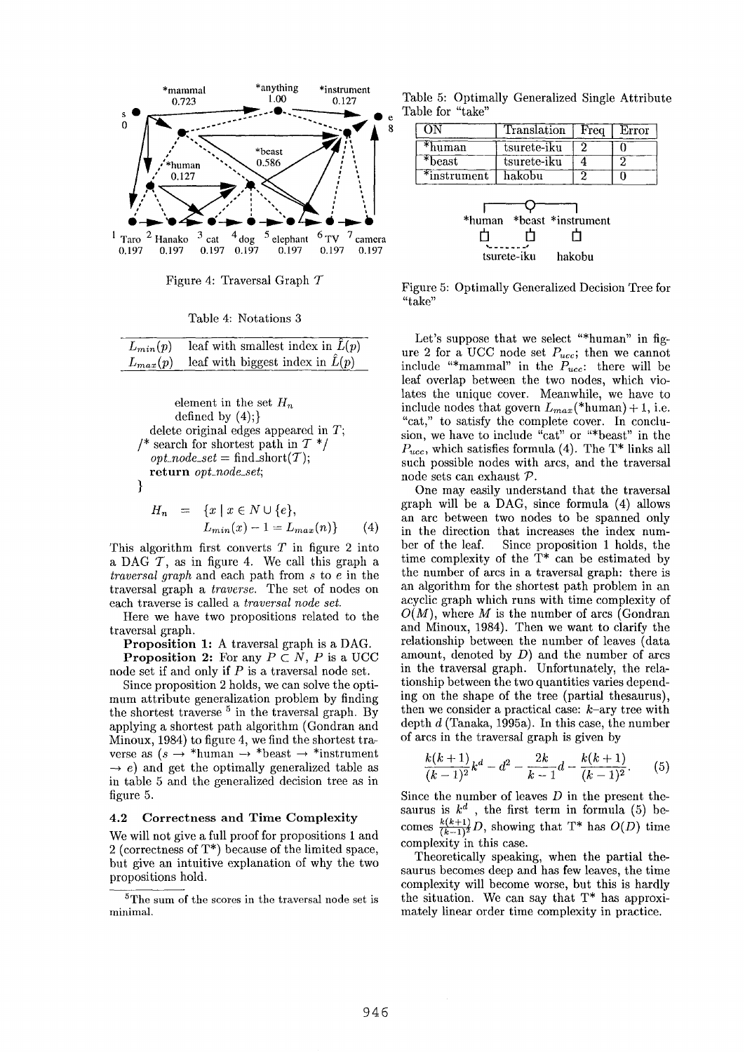

Figure 4: Traversal Graph  $\mathcal T$ 

Table 4: Notations 3

| $L_{min}(p)$ | leaf with smallest index in $\tilde{L}(p)$ |
|--------------|--------------------------------------------|
| $L_{max}(p)$ | leaf with biggest index in $\hat{L}(p)$    |

element in the set  $H_n$ defined by  $(4)$ ; delete original edges appeared in  $T$ ; /\* search for shortest path in  $T^*/$  $opt\_node\_set = \text{find\_short}(\mathcal{T});$ return opt\_node\_set;  $\mathcal{F}$  $H_n = \{x \mid x \in N \cup \{e\},\}$ 

$$
L_{min}(x) - 1 = L_{max}(n) \}
$$
 (4)

This algorithm first converts  $T$  in figure 2 into a DAG  $T$ , as in figure 4. We call this graph a *traversal graph* and each path from s to e in the traversal graph a *traverse*. The set of nodes on each traverse is called a traversal node set.

Here we have two propositions related to the traversal graph.

**Proposition 1:** A traversal graph is a DAG. **Proposition 2:** For any  $P \subset N$ , P is a UCC node set if and only if  $P$  is a traversal node set.

Since proposition 2 holds, we can solve the optimum attribute generalization problem by finding the shortest traverse <sup>5</sup> in the traversal graph. By applying a shortest path algorithm (Gondran and Minoux, 1984) to figure 4, we find the shortest traverse as  $(s \rightarrow *$ human  $\rightarrow *$ beast  $\rightarrow *$ instrument  $\rightarrow$  e) and get the optimally generalized table as in table 5 and the generalized decision tree as in figure 5.

#### Correctness and Time Complexity  $4.2$

We will not give a full proof for propositions 1 and 2 (correctness of  $T^*$ ) because of the limited space, but give an intuitive explanation of why the two propositions hold.

<sup>5</sup>The sum of the scores in the traversal node set is minimal.

Table 5: Optimally Generalized Single Attribute Table for "take"

|             | Translation        | Freq | Error |
|-------------|--------------------|------|-------|
| *human      | tsurete-iku        |      |       |
| $*beast$    | tsurete-iku        |      | 2     |
| *instrument | hakobu             |      |       |
| *human      | *beast *instrument |      |       |

Figure 5: Optimally Generalized Decision Tree for "take"

hakobu

tsurete-iku

Let's suppose that we select "\*human" in figure 2 for a UCC node set  $P_{ucc}$ ; then we cannot include "\*mammal" in the  $P_{ucc}$ : there will be leaf overlap between the two nodes, which violates the unique cover. Meanwhile, we have to include nodes that govern  $L_{max}$  (\*human) + 1, i.e. "cat," to satisfy the complete cover. In conclusion, we have to include "cat" or "\*beast" in the  $P_{ucc}$ , which satisfies formula (4). The T<sup>\*</sup> links all such possible nodes with arcs, and the traversal node sets can exhaust  $P$ .

One may easily understand that the traversal graph will be a DAG, since formula (4) allows an arc between two nodes to be spanned only in the direction that increases the index number of the leaf. Since proposition 1 holds, the time complexity of the  $T^*$  can be estimated by the number of arcs in a traversal graph: there is an algorithm for the shortest path problem in an acyclic graph which runs with time complexity of  $O(M)$ , where M is the number of arcs (Gondran and Minoux, 1984). Then we want to clarify the relationship between the number of leaves (data amount, denoted by  $D$ ) and the number of arcs in the traversal graph. Unfortunately, the relationship between the two quantities varies depending on the shape of the tree (partial thesaurus), then we consider a practical case:  $k$ -ary tree with depth  $d$  (Tanaka, 1995a). In this case, the number of arcs in the traversal graph is given by

$$
\frac{k(k+1)}{(k-1)^2}k^d - d^2 - \frac{2k}{k-1}d - \frac{k(k+1)}{(k-1)^2}.
$$
 (5)

Since the number of leaves  $D$  in the present thesaurus is  $k^d$ , the first term in formula (5) becomes  $\frac{k(k+1)}{(k-1)^2}D$ , showing that T\* has  $O(D)$  time complexity in this case.

Theoretically speaking, when the partial thesaurus becomes deep and has few leaves, the time complexity will become worse, but this is hardly the situation. We can say that  $T^*$  has approximately linear order time complexity in practice.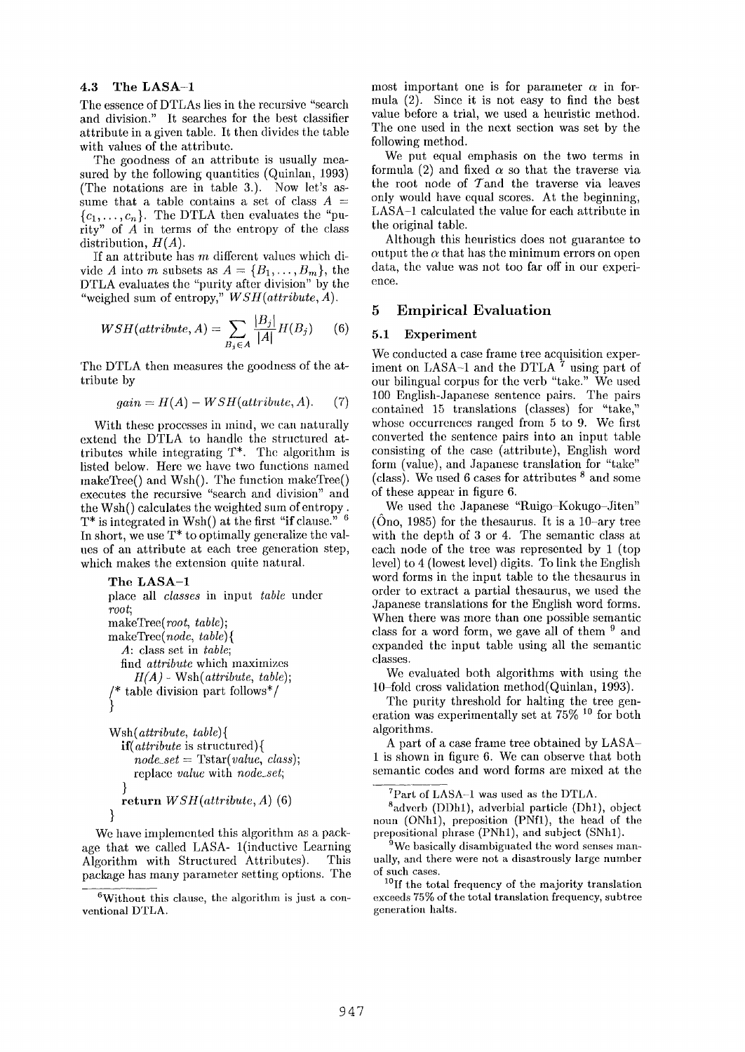#### 4.3 The LASA-1

The essence of DTLAs lies in the recursive "search and division." It searches for the best classifier attribute in a given table. It then divides the table with values of the attribute.

The goodness of an attribute is usually measured by the following quantities (Quinlan, 1993) (The notations are in table 3.). Now let's assume that a table contains a set of class  $A =$  ${c_1,\ldots,c_n}$ . The DTLA then evaluates the "purity" of  $\overrightarrow{A}$  in terms of the entropy of the class distribution, *H(A).* 

If an attribute has  $m$  different values which divide A into m subsets as  $A = \{B_1, \ldots, B_m\}$ , the DTLA evaluates the "purity after division" by the "weighed sum of entropy," *WSH(attribute, A).* 

$$
WSH(attribute, A) = \sum_{B_j \in A} \frac{|B_j|}{|A|} H(B_j) \qquad (6)
$$

The DTLA then measures the goodness of the attribute by

$$
gain = H(A) - WSH(attribute, A). \tag{7}
$$

With these processes in mind, we can naturally extend the DTLA to handle the structured attributes while integrating T\*. The algorithm is listed below. Here we have two functions named makeTree() and Wsh(). The function makeTree() executes the recursive "search and division" and the Wsh() calculates the weighted sum of entropy.  $T^*$  is integrated in Wsh() at the first "if clause."  $6$ In short, we use  $T^*$  to optimally generalize the values of an attribute at each tree generation step, which makes the extension quite natural.

```
The LASA-1 
place all classes in input table under 
root; 
makeTree( root, table); 
makeTree(node, table){ 
  A: class set in table; 
  find attribute which maximizes 
     H(A) - Wsh( attribute, table); 
/* table division part follows*/ 
} 
Wsh( attribute, table){
```

```
if(attribute is structured){ 
    node_set = Tstar( value, class); 
    replace value with node_set;
  } 
  return WSH(attributc, A) (6) 
}
```
We have implemented this algorithm as a package that we called LASA- 1(inductive Learning Algorithm with Structured Attributes). This package has many parameter setting options. The most important one is for parameter  $\alpha$  in formula (2). Since it is not easy to find the best value before a trial, we used a heuristic method. The one used in the next section was set by the following method.

We put equal emphasis on the two terms in formula (2) and fixed  $\alpha$  so that the traverse via the root node of Tand the traverse via leaves only would have equal scores. At the beginning, LASA-1 calculated the value for each attribute in the original table.

Although this heuristics does not guarantee to output the  $\alpha$  that has the minimum errors on open data, the value was not too far off in our experience.

## 5 Empirical Evaluation

## 5.1 Experiment

We conducted a case frame tree acquisition experiment on LASA-1 and the DTLA  $^7$  using part of our bilingual corpus for the verb "take." We used 100 English-Japanese sentence pairs. The pairs contained 15 translations (classes) for "take," whose occurrences ranged from 5 to 9. We first converted the sentence pairs into an input table consisting of the case (attribute), English word form (value), and Japanese translation for "take" (class). We used 6 cases for attributes  $8$  and some of these appear in figure 6.

We used the Japanese "Ruigo-Kokugo-Jiten"  $(Ono, 1985)$  for the thesaurus. It is a 10-ary tree with the depth of 3 or 4. The semantic class at each node of the tree was represented by 1 (top level) to 4 (lowest level) digits. To link the English word forms in the input table to the thesaurus in order to extract a partial thesaurus, we used the Japanese translations for the English word forms. When there was more than one possible semantic class for a word form, we gave all of them  $9$  and expanded the input table using all the semantic classes.

We evaluated both algorithms with using the 10-fold cross validation method(Quinlan, 1993).

The purity threshold for halting the tree generation was experimentally set at  $75\%$ <sup>10</sup> for both algorithms.

A part of a case frame tree obtained by LASA-1 is shown in figure 6. We can observe that both semantic codes and word forms are mixed at the

 ${}^{7}$ Part of LASA-1 was used as the DTLA.

 $^8$ adverb (DDh1), adverbial particle (Dh1), object noun (ONhl), preposition (PNfl), the head of the prepositional phrase (PNhl), and subject (SNhl).

 $9W_e$  basically disambiguated the word senses manually, and there were not a disastrously large number of such cases.

1°If the total frequency of the majority translation exceeds 75% of the total translation frequency, subtree generation halts.

 $6$ Without this clause, the algorithm is just a conventional DTLA.